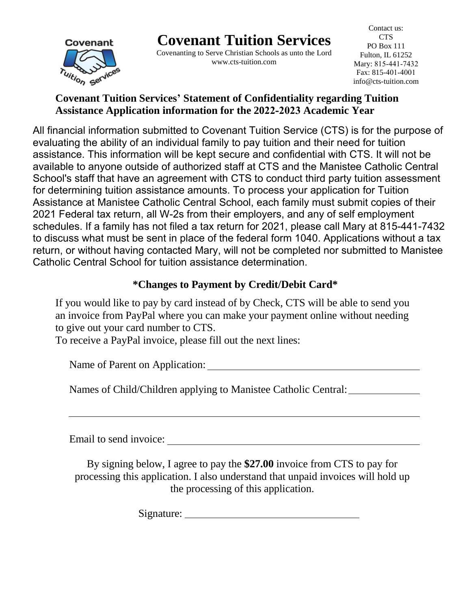**Covenant Tuition Services**

Covenant Tuition services

Covenanting to Serve Christian Schools as unto the Lord www.cts-tuition.com

Contact us: CTS PO Box 111 Fulton, IL 61252 Mary: 815-441-7432 Fax: 815-401-4001 info@cts-tuition.com

# **Covenant Tuition Services' Statement of Confidentiality regarding Tuition Assistance Application information for the 2022-2023 Academic Year**

 $T$  process your application for Tuition  $T$  and  $T$ uition  $T$ School information submitted to Covenant Tuition Service (CTS) is for the purpose of the full purpose of the full o from the distribution of the following schedule schedule in the following schedule schedule schedules with  $\sigma$   $\sim$  14  $\mu$ il the schedules with schedules with  $\sigma$   $\sim$  14  $\mu$ il the schedules with  $\sigma$  schedules with assistance. This information will be kept secure and confidential with CTO. It will not be<br>available to anyone outside of authorized staff at CTS and the Manistee Catholic Central available to arryone outside or additionzed starr at OTO and the Mariistee odditione ochtual<br>School's staff that have an agreement with CTS to conduct third party tuition assessment behoors stan that have an agreement with STS to conduct third party tallien asset<br>for determining tuition assistance amounts. To process your application for Tuition In actemining tallon assistance amounts. To process your application for Tuition<br>Assistance at Manistee Catholic Central School, each family must submit copies of their Residual for the mannetic common contract concert, call family these cability opposed.<br>2021 Federal tax return, all W-2s from their employers, and any of self employment ed and tuiting tuiting their need for their with a surpressed, the this term of the projection.<br>Schedules. If a family has not filed a tax return for 2021, please call Mary at 815-441-7432 to discuss what must be sent in place of the federal form 1040. Applications without a tax return, or without having contacted Mary, will not be completed nor submitted to Manistee Catholic Central School for tuition assistance determination. All financial information submitted to Covenant Tuition Service (CTS) is for the purpose of evaluating the ability of an individual family to pay tuition and their need for tuition assistance. This information will be kept secure and confidential with CTS. It will not be

# **\*Changes to Payment by Credit/Debit Card\***

If you would like to pay by card instead of by Check, CTS will be able to send you an invoice from PayPal where you can make your payment online without needing to give out your card number to CTS.

To receive a PayPal invoice, please fill out the next lines:

Name of Parent on Application:

Names of Child/Children applying to Manistee Catholic Central:

Email to send invoice:

By signing below, I agree to pay the **\$27.00** invoice from CTS to pay for processing this application. I also understand that unpaid invoices will hold up the processing of this application.

Signature: New York 1988.